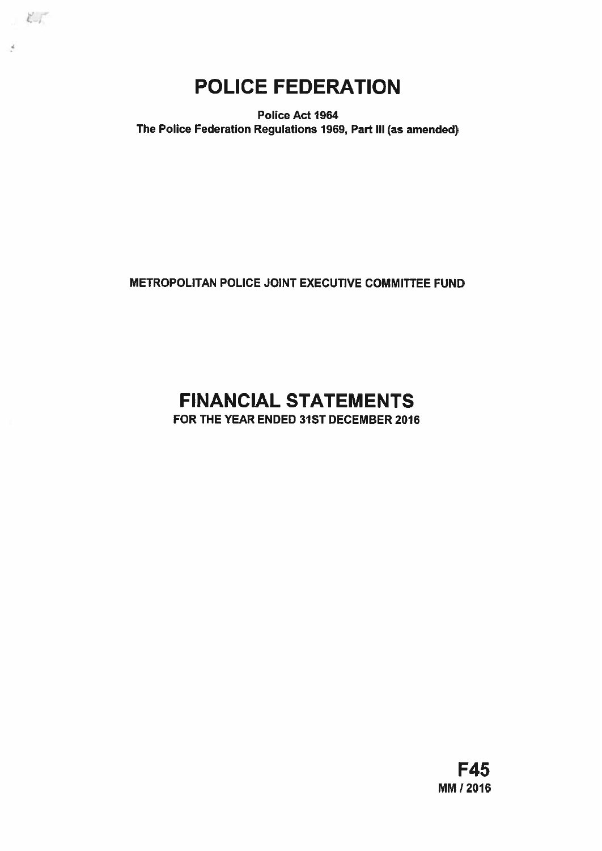POLICE FEDERATION

 $\epsilon$ 

 $\epsilon$ 

Police Act 1964 The Police Federation Regulations 1969, Part III (as amended)

METROPOLITAN POLICE JOINT EXECUTIVE COMMITTEE FUND

# FINANCIAL STATEMENTS

FOR THE YEAR ENDED 31ST DECEMBER 2016

F45 MM 12016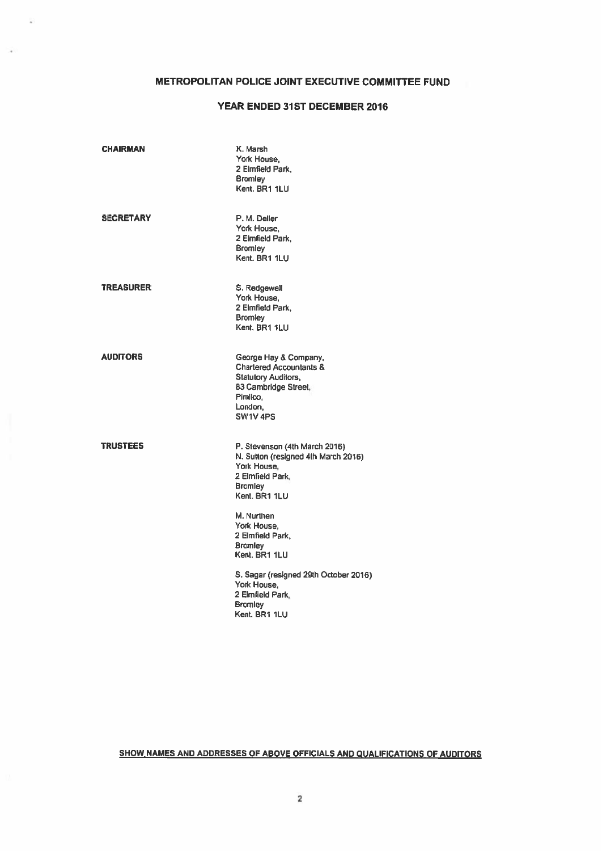# METROPOLITAN POLICE JOINT EXECUTIVE COMMITTEE FUND

# YEAR ENDED 31ST DECEMBER 2016

| <b>CHAIRMAN</b>  | K. Marsh<br>York House,<br>2 Elmfield Park,<br><b>Bromley</b><br>Kent, BR1 1LU                                                                                   |
|------------------|------------------------------------------------------------------------------------------------------------------------------------------------------------------|
| <b>SECRETARY</b> | P. M. Deller<br>York House.<br>2 Elmfield Park,<br><b>Bromley</b><br>Kent. BR1 1LU                                                                               |
| <b>TREASURER</b> | S. Redgewell<br>York House,<br>2 Elmfield Park,<br><b>Bromley</b><br>Kent, BR1 1LU                                                                               |
| <b>AUDITORS</b>  | George Hay & Company,<br><b>Chartered Accountants &amp;</b><br><b>Statutory Auditors,</b><br>83 Cambridge Street,<br>Pimlico,<br>London.<br>SW <sub>1V</sub> 4PS |
| <b>TRUSTEES</b>  | P. Stevenson (4th March 2016)<br>N. Sutton (resigned 4th March 2016)<br>York House.<br>2 Elmfield Park,<br><b>Bromley</b><br>Kent, BR1 1LU                       |
|                  | M. Nurthen<br>York House,<br>2 Elmfield Park,<br><b>Bromley</b><br>Kent. BR1 1LU                                                                                 |
|                  | S. Sagar (resigned 29th October 2016)<br>York House,<br>2 Elmfield Park.<br><b>Bromley</b><br>Kent, BR1 1LU                                                      |

SHOW NAMES AND ADDRESSES OF ABOVE OFFICIALS AND QUALIFICATIONS OF AUDITORS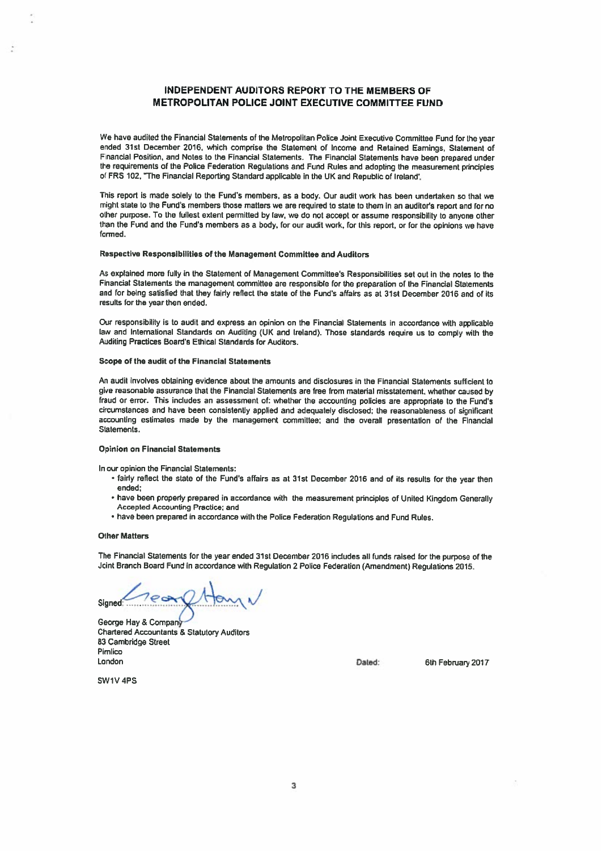### INDEPENDENT AUDITORS REPORT TO THE MEMBERS OF METROPOLITAN POLICE JOINT EXECUTIVE COMMITTEE FUND

We have audited the Financial Statements of the Metropolitan Police Joint Executive Committee Fund for the year ended 31st December 2016. which comprise the Statement of Income and Retained Earnings, Statement of Financial Position, and Notes to the Financial Statements. The Financial Statements have been prepare<sup>d</sup> under the requirements of the Police Federation Regulations and Fund Rules and adopting the measurement principles of FRS 102, "The Financial Reporting Standard applicable in the UK and Republic of Ireland'.

This repor<sup>t</sup> is made solely to the Fund's members, as <sup>a</sup> body. Our audit work has been undertaken so that we might state to the Fund's members those matters we are required to state to them in an auditor's report and for no other purpose. To the fullest extent permitted by law, we do not accep<sup>t</sup> or assume responsibility to anyone other than the Fund and the Fund's members as <sup>a</sup> body, for our audit work, for this report, or for the opinions we have formed,

#### Respective Responsibilities of the Management Committee and Auditors

As explained more fully in the Statement of Management Committee's Responsibilities set out in the notes to the Financial Statements the managemen<sup>t</sup> committee are responsible for the preparation of the Financial Statements and for being satisfied that they fairly reflect the state of the Fund's affairs as at 31st December 2016 and of its results for the year then ended.

Our responsibility is to audit and express an opinion on the Financial Statements in accordance with applicable law and Inlemationat Standards on Auditing (UK and Ireland). Those standards require us to comply with the Auditing Practices Board's Ethical Standards for Auditors.

### Scope of the audit of the Financial Statements

An audit involves obtaining evidence about the amounts and disclosures in the Financial Statements sufficient to <sup>g</sup>ive reasonable assurance that the Financial Statements are free from material misstatement, whether caused by fraud or error. This includes an assessment of: whether the accounting policies are appropriate to the Fund's circumstances and have been consistently applied and adequately disclosed; the reasonableness of significant accounting estimates made by the managemen<sup>t</sup> committee: and the overall presentation of the Financial **Statements** 

### Opinion on Financial Statements

In our opinion the Financial Statements:

- fairly reflect the state of the Fund's affairs as at 31st December 2016 and of its results for the year then ended:
- have been properly prepare<sup>d</sup> in accordance with the measurement principles of United Kingdom Generally Accepted Accounting Practice; and
- have been prepare<sup>d</sup> in accordance with the Police Federation Regulations and Fund Rules.

### Other Matters

The Financial Statements for the year ended 31st December <sup>2016</sup> includes all funds raised for the purpose of the Joint Branch Board Fund in accordance with Regulation <sup>2</sup> Police Federation (Amendment) Regulations 2015.

Signed

George Hay & Company Chartered Accountants & Statutory Auditors 83 Cambridge Street Pimlico London Dated: 6th February <sup>2017</sup>

SW1V 4PS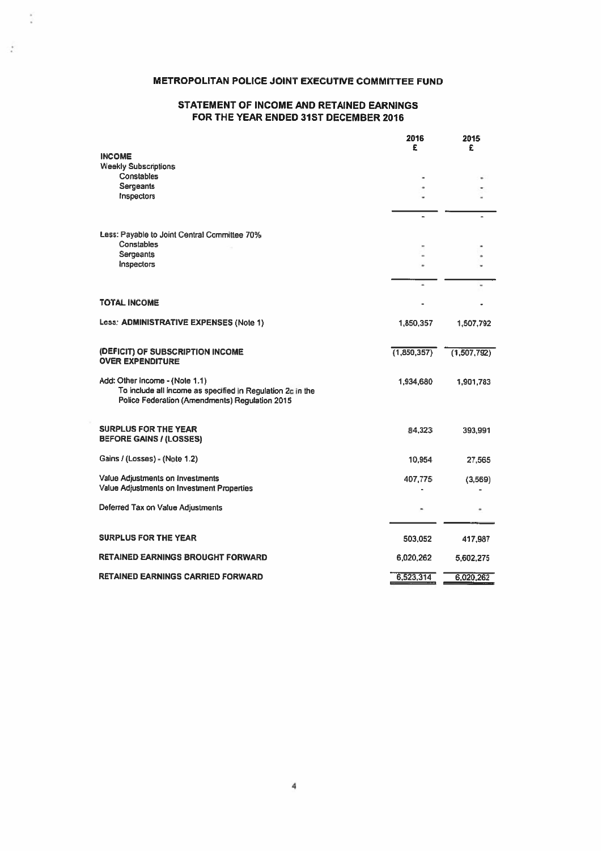# METROPOLITAN POLICE JOINT EXECUTIVE COMMITTEE FUND

 $\frac{1}{2}$ 

 $\mathcal{F}$ 

# STATEMENT OF INCOME AND RETAINED EARNINGS FOR THE YEAR ENDED 31ST DECEMBER 2016

|                                                                                                                                                | 2016<br>£   | 2015<br>£     |
|------------------------------------------------------------------------------------------------------------------------------------------------|-------------|---------------|
| <b>INCOME</b>                                                                                                                                  |             |               |
| <b>Weekly Subscriptions</b><br>Constables                                                                                                      |             |               |
| Sergeants                                                                                                                                      |             |               |
| Inspectors                                                                                                                                     |             |               |
|                                                                                                                                                |             |               |
| Less: Payable to Joint Central Committee 70%                                                                                                   |             |               |
| Constables<br>Sergeants                                                                                                                        |             |               |
| Inspectors                                                                                                                                     |             |               |
|                                                                                                                                                |             |               |
|                                                                                                                                                |             |               |
| <b>TOTAL INCOME</b>                                                                                                                            |             |               |
| Less: ADMINISTRATIVE EXPENSES (Note 1)                                                                                                         | 1,850,357   | 1,507,792     |
| (DEFICIT) OF SUBSCRIPTION INCOME<br><b>OVER EXPENDITURE</b>                                                                                    | (1,850,357) | (1, 507, 792) |
| Add: Other Income - (Note 1.1)<br>To include all income as specified in Regulation 2c in the<br>Police Federation (Amendments) Requlation 2015 | 1,934,680   | 1,901,783     |
| <b>SURPLUS FOR THE YEAR</b><br><b>BEFORE GAINS / (LOSSES)</b>                                                                                  | 84,323      | 393.991       |
| Gains / (Losses) - (Note 1.2)                                                                                                                  | 10,954      | 27,565        |
| Value Adjustments on Investments<br>Value Adjustments on Investment Properties                                                                 | 407,775     | (3,569)       |
| Deferred Tax on Value Adjustments                                                                                                              |             |               |
| <b>SURPLUS FOR THE YEAR</b>                                                                                                                    | 503,052     | 417,987       |
| RETAINED EARNINGS BROUGHT FORWARD                                                                                                              | 6,020,262   | 5,602,275     |
| RETAINED EARNINGS CARRIED FORWARD                                                                                                              | 6,523,314   | 6.020,262     |

4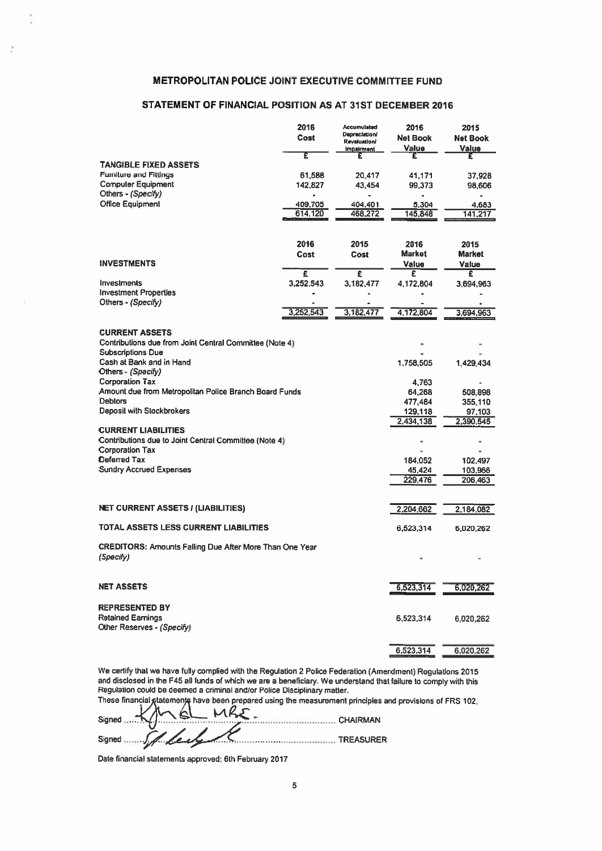### METROPOLITAN POLICE JOINT EXECUTIVE COMMITTEE FUND

# STATEMENT OF FINANCIAL POSITION AS AT 31ST DECEMBER 2016

| <b>METROPOLITAN POLICE JOINT EXECUTIVE COMMITTEE FUND</b>                           |                |                                      |                          |                          |
|-------------------------------------------------------------------------------------|----------------|--------------------------------------|--------------------------|--------------------------|
| STATEMENT OF FINANCIAL POSITION AS AT 31ST DECEMBER 2016                            |                |                                      |                          |                          |
|                                                                                     | 2016           | <b>Accumulated</b>                   | 2016                     | 2015                     |
|                                                                                     | Cost           | Depreciation/<br><b>Revaluation/</b> | <b>Net Book</b><br>Value | <b>Net Book</b><br>Value |
|                                                                                     | Έ              | <b>Impairment</b><br>£               | £                        | £                        |
| <b>TANGIBLE FIXED ASSETS</b><br><b>Furniture and Fittings</b>                       | 61,588         | 20,417                               | 41,171                   | 37,928                   |
| <b>Computer Equipment</b><br>Others - (Specify)                                     | 142,827        | 43,454                               | 99,373                   | 98,606                   |
| <b>Office Equipment</b>                                                             | 409,705        | 404,401                              | 5.304                    | 4,683                    |
|                                                                                     | 614,120        | 468,272                              | 145,848                  | 141,217                  |
|                                                                                     |                |                                      |                          |                          |
|                                                                                     | 2016<br>Cost   | 2015<br>Cost                         | 2016<br><b>Market</b>    | 2015<br><b>Market</b>    |
| <b>INVESTMENTS</b>                                                                  |                |                                      | Value                    | Value                    |
| <b>Investments</b>                                                                  | £<br>3,252,543 | £<br>3,182,477                       | £<br>4,172,804           | £<br>3,694,963           |
| <b>Investment Properties</b>                                                        |                |                                      |                          |                          |
| Others - (Specify)                                                                  | 3,252,543      | 3,182,477                            | 4,172,804                | 3.694.963                |
| <b>CURRENT ASSETS</b>                                                               |                |                                      |                          |                          |
| Contributions due from Joint Central Committee (Note 4)                             |                |                                      |                          |                          |
| <b>Subscriptions Due</b><br>Cash at Bank and in Hand                                |                |                                      | 1,758,505                | 1,429,434                |
| Others - (Specify)                                                                  |                |                                      |                          |                          |
| <b>Corporation Tax</b><br>Amount due from Metropolitan Police Branch Board Funds    |                |                                      | 4,763<br>64,268          | 508,898                  |
| <b>Debtors</b>                                                                      |                |                                      | 477,484                  | 355,110                  |
| Deposit with Stockbrokers                                                           |                |                                      | 129,118<br>2,434,138     | 97,103<br>2,390,545      |
| <b>CURRENT LIABILITIES</b><br>Contributions due to Joint Central Committee (Note 4) |                |                                      | ٠                        |                          |
| Corporation Tax                                                                     |                |                                      |                          |                          |
| Deferred Tax<br><b>Sundry Accrued Expenses</b>                                      |                |                                      | 184,052<br>45,424        | 102,497<br>103,966       |
|                                                                                     |                |                                      | 229,476                  | 206,463                  |
|                                                                                     |                |                                      |                          |                          |
| <b>NET CURRENT ASSETS / (LIABILITIES)</b>                                           |                |                                      | 2,204,662                | 2,184,082                |
| TOTAL ASSETS LESS CURRENT LIABILITIES                                               |                |                                      | 6,523,314                | 6,020,262                |
| <b>CREDITORS: Amounts Falling Due After More Than One Year</b><br>(Specify)         |                |                                      |                          |                          |
|                                                                                     |                |                                      |                          |                          |
| <b>NET ASSETS</b>                                                                   |                |                                      | 6,523,314                | 6,020,262                |
| <b>REPRESENTED BY</b>                                                               |                |                                      |                          |                          |
| <b>Retained Earnings</b>                                                            |                |                                      | 6,523,314                | 6,020,262                |
| Other Reserves - (Specify)                                                          |                |                                      |                          |                          |
|                                                                                     |                |                                      | 6,523,314                | 6,020,262                |
|                                                                                     |                |                                      |                          |                          |

We certify that we have fully complied with the Regulation <sup>2</sup> Police Federation (Amendment) Regulations <sup>2015</sup> and disclosed in the F45 alt funds of which we are <sup>a</sup> beneficiary. We understand that failure to comply with this Regulation could be deemed <sup>a</sup> criminal and/or Police Disciplinary matter.

These financial statemen) have been prepared using the measurement principles and provisions of FRS 102.

 $Signed$   $MGL$   $AC$ Signed Jetter Court Communication TREASURER

Date financial statements approved: 6th February 2017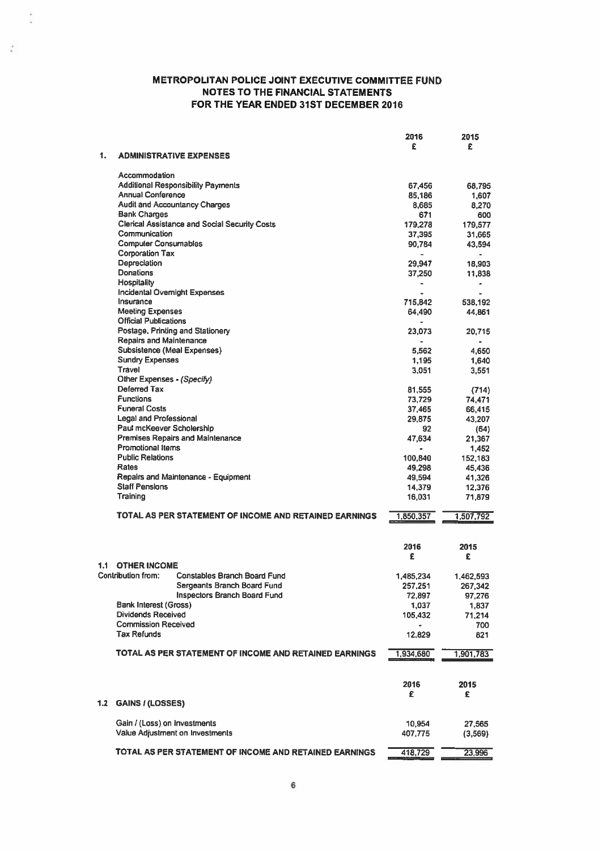$\frac{1}{2}$ 

 $\mathcal{I}$ 

|     |                                                           | 2016      | 2015           |
|-----|-----------------------------------------------------------|-----------|----------------|
| 1.  | <b>ADMINISTRATIVE EXPENSES</b>                            | £         | £              |
|     | Accommodation                                             |           |                |
|     | <b>Additional Responsibility Payments</b>                 | 67.456    | 68,795         |
|     | <b>Annual Conference</b>                                  | 85,186    | 1,607          |
|     | <b>Audit and Accountancy Charges</b>                      | 8.685     | 8,270          |
|     | <b>Bank Charges</b>                                       | 671       | 600            |
|     | <b>Clerical Assistance and Social Security Costs</b>      | 179,278   | 179.577        |
|     | Communication                                             | 37,395    | 31.665         |
|     | <b>Computer Consumables</b>                               | 90,784    | 43,594         |
|     | <b>Corporation Tax</b>                                    |           | $\bullet$      |
|     | Depreciation                                              | 29,947    | 18,903         |
|     | Donations                                                 | 37,250    | 11,838         |
|     | <b>Hospitality</b>                                        | -         | $\bullet$      |
|     | Incidental Overnight Expenses                             | $\bullet$ | $\overline{a}$ |
|     | Insurance                                                 | 715,842   | 538,192        |
|     | <b>Meeting Expenses</b>                                   | 64.490    | 44,861         |
|     | <b>Official Publications</b>                              |           |                |
|     | Postage, Printing and Stationery                          | 23,073    | 20,715         |
|     | Repairs and Maintenance                                   | ä,        |                |
|     | Subsistence (Meal Expenses)                               | 5,562     | 4,650          |
|     | <b>Sundry Expenses</b>                                    | 1.195     | 1,640          |
|     | Travel                                                    | 3,051     | 3,551          |
|     | Other Expenses - (Specify)                                |           |                |
|     | <b>Deferred Tax</b>                                       | 81,555    | (714)          |
|     | <b>Functions</b>                                          | 73.729    | 74.471         |
|     | <b>Funeral Costs</b>                                      | 37,465    | 66,415         |
|     | <b>Legal and Professional</b>                             | 29,875    | 43.207         |
|     | Paul mcKeever Scholership                                 | 92        | (64)           |
|     | <b>Premises Repairs and Maintenance</b>                   | 47,634    | 21,367         |
|     | Promotional Items                                         |           |                |
|     | <b>Public Relations</b>                                   | $\bullet$ | 1,452          |
|     | Rates                                                     | 100,840   | 152,183        |
|     | Repairs and Maintenance - Equipment                       | 49.298    | 45,436         |
|     | <b>Staff Pensions</b>                                     | 49,594    | 41,326         |
|     | Training                                                  | 14,379    | 12,376         |
|     |                                                           | 16,031    | 71,879         |
|     | TOTAL AS PER STATEMENT OF INCOME AND RETAINED EARNINGS    | 1,850,357 | 1,507,792      |
|     |                                                           |           |                |
|     |                                                           | 2016<br>£ | 2015           |
| 1.1 | <b>OTHER INCOME</b>                                       |           | £              |
|     | Contribution from:<br><b>Constables Branch Board Fund</b> |           |                |
|     | Sergeants Branch Board Fund                               | 1,485,234 | 1,462,593      |
|     | <b>Inspectors Branch Board Fund</b>                       | 257,251   | 267,342        |
|     |                                                           | 72,897    | 97,276         |
|     | <b>Bank Interest (Gross)</b><br><b>Dividends Received</b> | 1,037     | 1,837          |
|     | <b>Commission Received</b>                                | 105,432   | 71,214         |
|     |                                                           | ٠         | 700            |
|     | <b>Tax Refunds</b>                                        | 12,829    | 821            |
|     | TOTAL AS PER STATEMENT OF INCOME AND RETAINED EARNINGS    | 1,934,680 | 1,901,783      |
|     |                                                           | 2016      | 2015           |
|     |                                                           | £         | £              |
| 1.2 | <b>GAINS / (LOSSES)</b>                                   |           |                |
|     | Gain / (Loss) on Investments                              | 10,954    | 27,565         |
|     | Value Adjustment on Investments                           | 407,775   | (3,569)        |
|     |                                                           |           |                |
|     | TOTAL AS PER STATEMENT OF INCOME AND RETAINED EARNINGS    | 418,729   | 23,996         |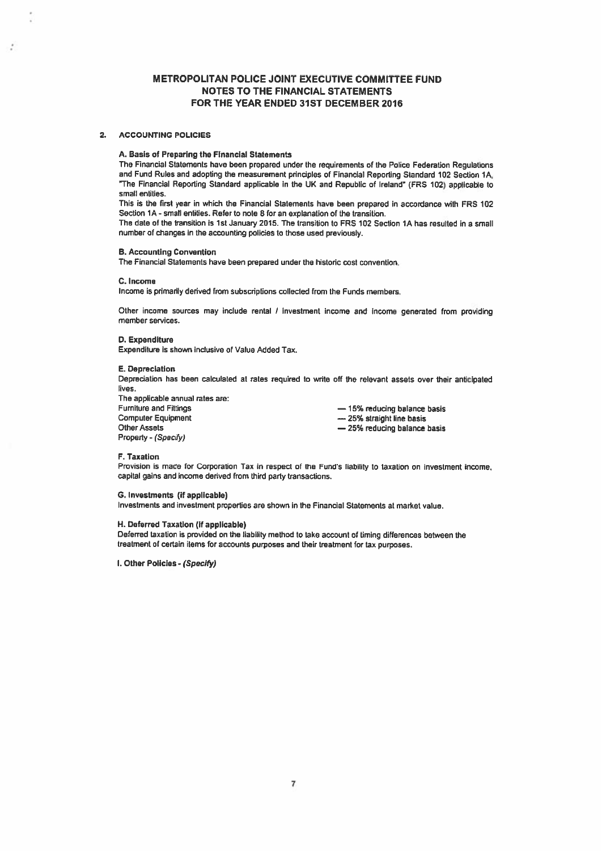### 2. ACCOUNTING POLICIES

÷,

#### A. Basis of Preparing the Financial Statements

The Financial Statements have been prepared under the requirements of the Police Federation Regulations and Fund Rules and adopting the measurement principles of Financial Reporting Standard 102 Section 1A. "The Financial Reporting Standard applicable in the UK and Republic of Ireland" (FRS 102) applicable to small entities.

This is the first year in which the Financial Statements have been prepare<sup>d</sup> in accordance with FRS <sup>102</sup> Section 1A - small entities. Refer to note 8 for an explanation of the transition.

The date of the transition is 1st January 2015. The transition to FRS 102 Section 1A has resulted in <sup>a</sup> small number of changes in the accounting policies to those used previously.

### B. Accounting Convention

The Financial Statements have been prepared under the historic cost convention.

#### C. Income

Income is primarily derived from subscriptions collected from the Funds members.

Other income sources may include rental <sup>I</sup> investment income and income generated from providing member services.

### D. Expenditure

Expenditure is shown inclusive of Value Added Tax.

#### E. Depreciation

Depreciation has been calculated at rates required to write off the relevant assets over their anticipated lives.

The applicable annual rates are: Furniture and Fittings — 15% reducing balance basis Computer Equipment **Example 25%** straight line basis Other Assets Property - (Specify)

— 25% reducing balance basis

#### F. Taxation

Provision is made for Corporation Tax in respect of the Fund's liability to taxation on investment income, capital gains and income derived from third party transactions.

#### S. Investments (if applicable)

Investments and investment properties are shown in the Financial Statements at market value.

### H. Deferred Taxation (if applicable)

Delerred taxation is provided on the liability method to take accouni of timing differences between the treatment of certain items for accounts purposes and their treatment for tax purposes.

I. Other Policies - (Specify)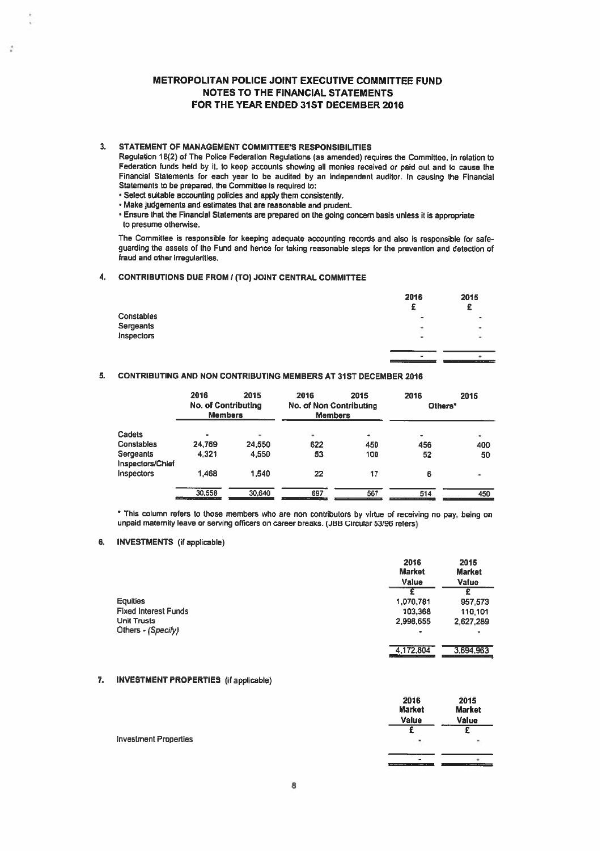### 3. STATEMENT OF MANAGEMENT COMMITTEE'S RESPONSIBILITIES

÷,

Regulation 18(2) of The Police Federation Regulations (as amended) requires the Committee, in relation to Federation funds held by it. to keep accounts showing all monies received or paid out and to cause the Financial Statements for each year to be audited by an independent auditor. In causing the Financial Statements to be prepared, the Committee is required to:

• Select suitable accounting policies and apply them consistently.

• Make judgements and estimates that are reasonable and prudent.

• Ensure that the Financial Statements are prepare<sup>d</sup> on the going concern basis unless it is appropriate to presume otherwise.

The Committee is responsible for keeping adequate accounting records and also is responsible for safe guarding the assets of the Fund and hence for taking reasonable steps for the prevention and detection of fraud and other irregularities.

### 4. CONTRIBUTIONS DUE FROM? (TO) JOINT CENTRAL COMMITTEE

|            | 2016     | 2015<br>£                       |
|------------|----------|---------------------------------|
| Constables | ٠        |                                 |
| Sergeants  | ٠        | ٠                               |
| Inspectors | ۰        | ۰                               |
|            |          |                                 |
|            | ۰<br>--- | the contract of the same<br>. . |
|            |          |                                 |

# 5. CONTRIBUTING AND NON CONTRIBUTING MEMBERS AT 31ST DECEMBER 2016

|                              | 2016<br><b>No. of Contributing</b><br><b>Members</b> | 2015   | 2016<br><b>No. of Non Contributing</b><br><b>Members</b> | 2015 | 2016<br>Others* | 2015 |
|------------------------------|------------------------------------------------------|--------|----------------------------------------------------------|------|-----------------|------|
| Cadets                       | $\bullet$                                            |        | ×                                                        | ٠    | ÷               | ٠    |
| Constables                   | 24,769                                               | 24,550 | 622                                                      | 450  | 456             | 400  |
| Sergeants<br>nspectors/Chief | 4.321                                                | 4,550  | 53                                                       | 100  | 52              | 50   |
| nspectors                    | 1.468                                                | 1,540  | 22                                                       | 17   | 6               | ۰    |
|                              | 30.558                                               | 30,640 | 697                                                      | 567  | 514             | 450  |

\* This column refers to those members who are non contributors by virtue of receiving no pay, being on unpaid matemity leave or serving officers on career breaks. (JBB Circular 53/96 relers)

# 6. INVESTMENTS (if applicable)

|                             | 2016<br><b>Market</b><br>Value | 2015<br><b>Market</b><br>Value |
|-----------------------------|--------------------------------|--------------------------------|
|                             |                                | £                              |
| <b>Equities</b>             | 1,070,781                      | 957,573                        |
| <b>Fixed Interest Funds</b> | 103,368                        | 110.101                        |
| <b>Unit Trusts</b>          | 2,998,655                      | 2.627.289                      |
| Others - (Specify)          | ٠                              |                                |
|                             | 4.172.804                      | 3.694.963                      |

### 7. INVESTMENT PROPERTIES (if applicable)

|                              | 2016<br><b>Market</b><br>Value | 2015<br><b>Market</b><br>Value |
|------------------------------|--------------------------------|--------------------------------|
| <b>Investment Properties</b> | ×                              |                                |
|                              | $\blacksquare$<br>$-$          |                                |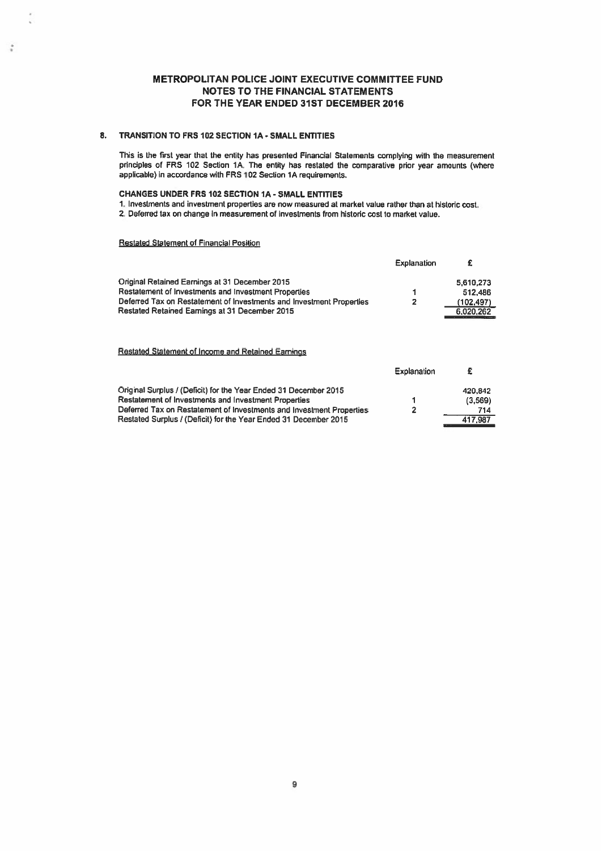### 8. TRANSITION TO FRS 102 SECTION 1A - SMALL ENTITIES

This is the first year that the entity has presented Financial Statements complying with the measurement principles of FRS 102 Section 1A. The entity has restated the comparative prior year amounts (where applicable) in accordance with FRS 102 Section 1A requirements.

# CHANGES UNDER FRS 102 SECTION IA - SMALL ENTITIES

1. Investments and investment properties are now measured at market value rather than at historic cost. 2. Deferred tax on change in measurement of investments from historic cost to market value.

# Restated Statement of Financial Position

ś

|                                                                      | Explanation |            |
|----------------------------------------------------------------------|-------------|------------|
| Original Retained Earnings at 31 December 2015                       |             | 5,610,273  |
| Restatement of Investments and Investment Properties                 |             | 512.486    |
| Deferred Tax on Restatement of Investments and Investment Properties | 2           | (102, 497) |
| Restated Retained Earnings at 31 December 2015                       |             | 6.020.262  |

### Restated Statement of Income and Retained Eamings

|                                                                      | Explanation |         |
|----------------------------------------------------------------------|-------------|---------|
| Original Surplus / (Deficit) for the Year Ended 31 December 2015     |             | 420.842 |
| Restatement of Investments and Investment Properties                 |             | (3,569) |
| Deferred Tax on Restatement of Investments and Investment Properties | 2           | 714     |
| Restated Surplus / (Deficit) for the Year Ended 31 December 2015     |             | 417.987 |